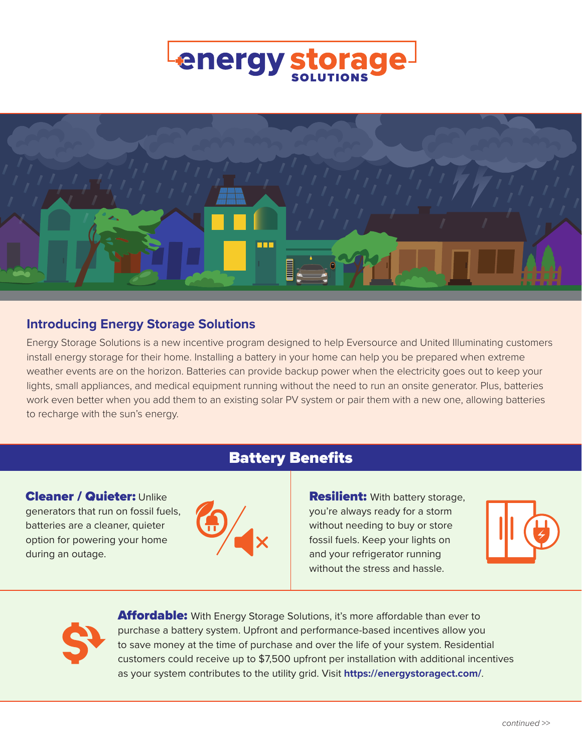



## **Introducing Energy Storage Solutions**

Energy Storage Solutions is a new incentive program designed to help Eversource and United Illuminating customers install energy storage for their home. Installing a battery in your home can help you be prepared when extreme weather events are on the horizon. Batteries can provide backup power when the electricity goes out to keep your lights, small appliances, and medical equipment running without the need to run an onsite generator. Plus, batteries work even better when you add them to an existing solar PV system or pair them with a new one, allowing batteries to recharge with the sun's energy.

Battery Benefits



**Resilient:** With battery storage, you're always ready for a storm without needing to buy or store fossil fuels. Keep your lights on and your refrigerator running without the stress and hassle.





during an outage.

Cleaner / Quieter: Unlike generators that run on fossil fuels, batteries are a cleaner, quieter option for powering your home

> Affordable: With Energy Storage Solutions, it's more affordable than ever to purchase a battery system. Upfront and performance-based incentives allow you to save money at the time of purchase and over the life of your system. Residential customers could receive up to \$7,500 upfront per installation with additional incentives as your system contributes to the utility grid. Visit **<https://energystoragect.com/>**.